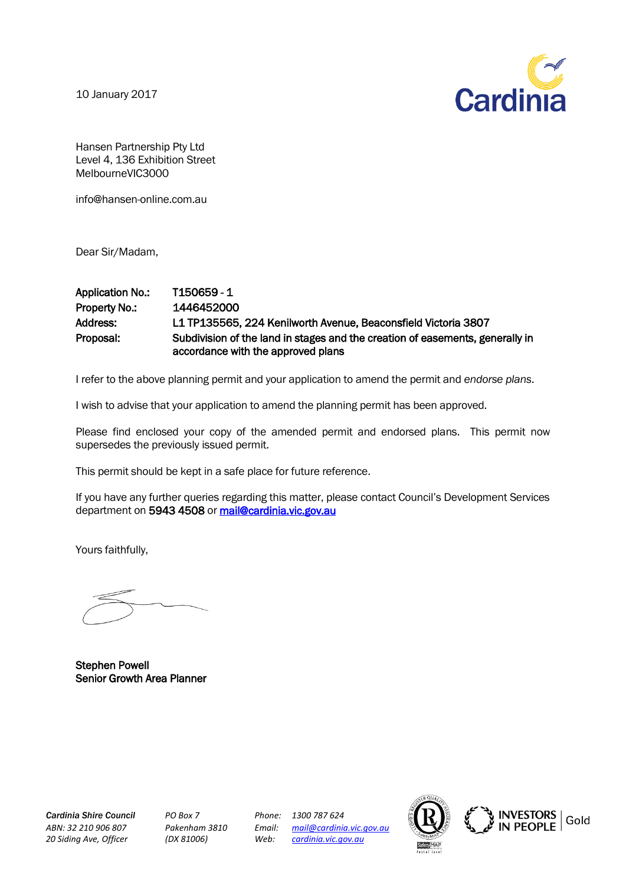10 January 2017



Hansen Partnership Pty Ltd Level 4, 136 Exhibition Street MelbourneVIC3000

info@hansen-online.com.au

Dear Sir/Madam,

## Application No.: T150659 - 1 Property No.: 1446452000 Address: L1 TP135565, 224 Kenilworth Avenue, Beaconsfield Victoria 3807 Proposal: Subdivision of the land in stages and the creation of easements, generally in accordance with the approved plans

I refer to the above planning permit and your application to amend the permit and *endorse plans*.

I wish to advise that your application to amend the planning permit has been approved.

Please find enclosed your copy of the amended permit and endorsed plans. This permit now supersedes the previously issued permit.

This permit should be kept in a safe place for future reference.

If you have any further queries regarding this matter, please contact Council's Development Services department on 5943 4508 or mail@cardinia.vic.gov.au

Yours faithfully,

Stephen Powell Senior Growth Area Planner

*Cardinia Shire Council PO Box 7 Phone: 1300 787 624*

*ABN: 32 210 906 807 Pakenham 3810 Email: [mail@cardinia.vic.gov.au](mailto:mail@cardinia.vic.gov.au) 20 Siding Ave, Officer (DX 81006) Web: [cardinia.vic.gov.au](http://www.cardinia.vic.gov.au/)*



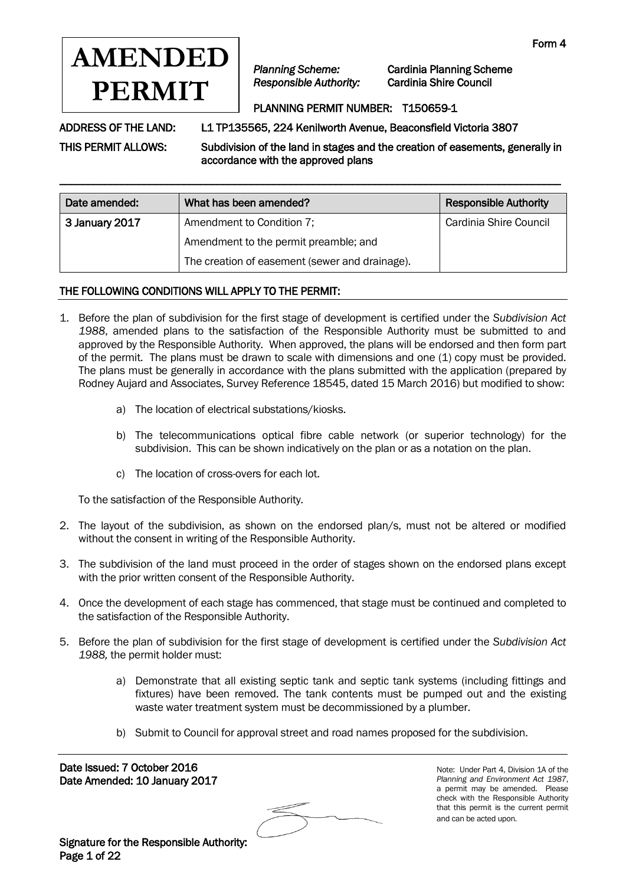

*Planning Scheme:* Cardinia Planning Scheme

#### PLANNING PERMIT NUMBER: T150659-1

ADDRESS OF THE LAND: L1 TP135565, 224 Kenilworth Avenue, Beaconsfield Victoria 3807

THIS PERMIT ALLOWS: Subdivision of the land in stages and the creation of easements, generally in accordance with the approved plans

| Date amended:  | What has been amended?                         | <b>Responsible Authority</b> |
|----------------|------------------------------------------------|------------------------------|
| 3 January 2017 | Amendment to Condition 7;                      | Cardinia Shire Council       |
|                | Amendment to the permit preamble; and          |                              |
|                | The creation of easement (sewer and drainage). |                              |

\_\_\_\_\_\_\_\_\_\_\_\_\_\_\_\_\_\_\_\_\_\_\_\_\_\_\_\_\_\_\_\_\_\_\_\_\_\_\_\_\_\_\_\_\_\_\_\_\_\_\_\_\_\_\_\_\_\_\_\_\_\_\_\_\_\_\_\_\_\_\_\_\_\_\_\_\_\_\_\_\_\_\_\_\_\_\_\_\_

#### THE FOLLOWING CONDITIONS WILL APPLY TO THE PERMIT:

- 1. Before the plan of subdivision for the first stage of development is certified under the *Subdivision Act 1988*, amended plans to the satisfaction of the Responsible Authority must be submitted to and approved by the Responsible Authority. When approved, the plans will be endorsed and then form part of the permit. The plans must be drawn to scale with dimensions and one (1) copy must be provided. The plans must be generally in accordance with the plans submitted with the application (prepared by Rodney Aujard and Associates, Survey Reference 18545, dated 15 March 2016) but modified to show:
	- a) The location of electrical substations/kiosks.
	- b) The telecommunications optical fibre cable network (or superior technology) for the subdivision. This can be shown indicatively on the plan or as a notation on the plan.
	- c) The location of cross-overs for each lot.

To the satisfaction of the Responsible Authority.

- 2. The layout of the subdivision, as shown on the endorsed plan/s, must not be altered or modified without the consent in writing of the Responsible Authority.
- 3. The subdivision of the land must proceed in the order of stages shown on the endorsed plans except with the prior written consent of the Responsible Authority.
- 4. Once the development of each stage has commenced, that stage must be continued and completed to the satisfaction of the Responsible Authority.
- 5. Before the plan of subdivision for the first stage of development is certified under the *Subdivision Act 1988,* the permit holder must:
	- a) Demonstrate that all existing septic tank and septic tank systems (including fittings and fixtures) have been removed. The tank contents must be pumped out and the existing waste water treatment system must be decommissioned by a plumber.
	- b) Submit to Council for approval street and road names proposed for the subdivision.

Date Issued: 7 October 2016 Date Amended: 10 January 2017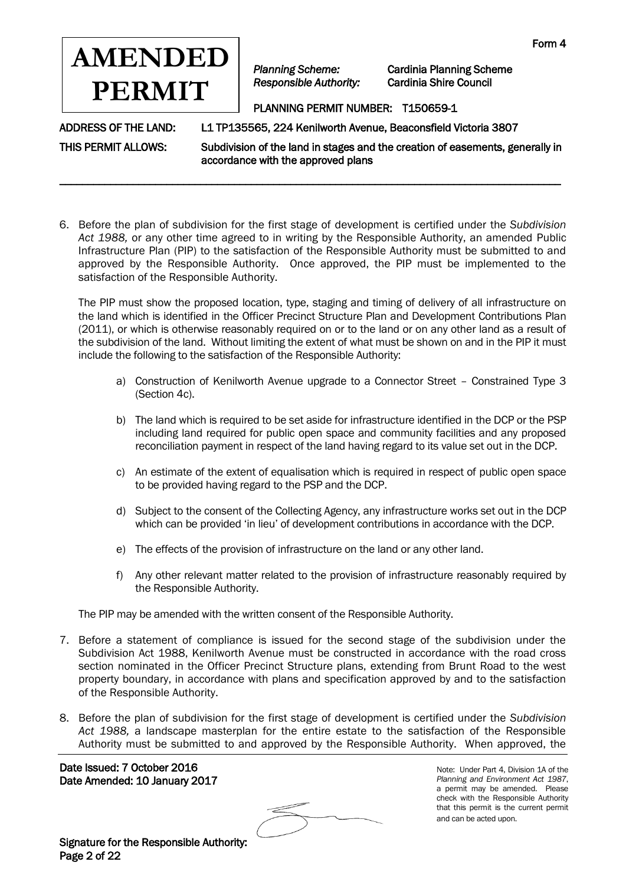

*Planning Scheme:* Cardinia Planning Scheme

#### PLANNING PERMIT NUMBER: T150659-1

ADDRESS OF THE LAND: L1 TP135565, 224 Kenilworth Avenue, Beaconsfield Victoria 3807

THIS PERMIT ALLOWS: Subdivision of the land in stages and the creation of easements, generally in accordance with the approved plans

6. Before the plan of subdivision for the first stage of development is certified under the *Subdivision Act 1988,* or any other time agreed to in writing by the Responsible Authority, an amended Public Infrastructure Plan (PIP) to the satisfaction of the Responsible Authority must be submitted to and approved by the Responsible Authority. Once approved, the PIP must be implemented to the satisfaction of the Responsible Authority.

\_\_\_\_\_\_\_\_\_\_\_\_\_\_\_\_\_\_\_\_\_\_\_\_\_\_\_\_\_\_\_\_\_\_\_\_\_\_\_\_\_\_\_\_\_\_\_\_\_\_\_\_\_\_\_\_\_\_\_\_\_\_\_\_\_\_\_\_\_\_\_\_\_\_\_\_\_\_\_\_\_\_\_\_\_\_\_\_\_

The PIP must show the proposed location, type, staging and timing of delivery of all infrastructure on the land which is identified in the Officer Precinct Structure Plan and Development Contributions Plan (2011), or which is otherwise reasonably required on or to the land or on any other land as a result of the subdivision of the land. Without limiting the extent of what must be shown on and in the PIP it must include the following to the satisfaction of the Responsible Authority:

- a) Construction of Kenilworth Avenue upgrade to a Connector Street Constrained Type 3 (Section 4c).
- b) The land which is required to be set aside for infrastructure identified in the DCP or the PSP including land required for public open space and community facilities and any proposed reconciliation payment in respect of the land having regard to its value set out in the DCP.
- c) An estimate of the extent of equalisation which is required in respect of public open space to be provided having regard to the PSP and the DCP.
- d) Subject to the consent of the Collecting Agency, any infrastructure works set out in the DCP which can be provided 'in lieu' of development contributions in accordance with the DCP.
- e) The effects of the provision of infrastructure on the land or any other land.
- f) Any other relevant matter related to the provision of infrastructure reasonably required by the Responsible Authority.

The PIP may be amended with the written consent of the Responsible Authority.

- 7. Before a statement of compliance is issued for the second stage of the subdivision under the Subdivision Act 1988, Kenilworth Avenue must be constructed in accordance with the road cross section nominated in the Officer Precinct Structure plans, extending from Brunt Road to the west property boundary, in accordance with plans and specification approved by and to the satisfaction of the Responsible Authority.
- 8. Before the plan of subdivision for the first stage of development is certified under the *Subdivision Act 1988,* a landscape masterplan for the entire estate to the satisfaction of the Responsible Authority must be submitted to and approved by the Responsible Authority. When approved, the

Date Issued: 7 October 2016 Date Amended: 10 January 2017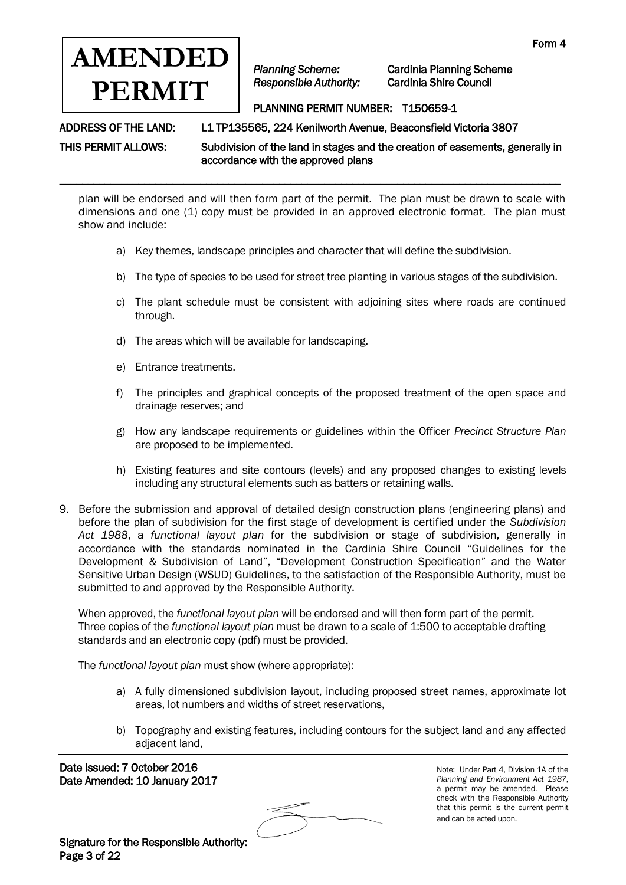

*Planning Scheme:* Cardinia Planning Scheme

# PLANNING PERMIT NUMBER: T150659-1

ADDRESS OF THE LAND: L1 TP135565, 224 Kenilworth Avenue, Beaconsfield Victoria 3807

THIS PERMIT ALLOWS: Subdivision of the land in stages and the creation of easements, generally in accordance with the approved plans

plan will be endorsed and will then form part of the permit. The plan must be drawn to scale with dimensions and one (1) copy must be provided in an approved electronic format. The plan must show and include:

a) Key themes, landscape principles and character that will define the subdivision.

\_\_\_\_\_\_\_\_\_\_\_\_\_\_\_\_\_\_\_\_\_\_\_\_\_\_\_\_\_\_\_\_\_\_\_\_\_\_\_\_\_\_\_\_\_\_\_\_\_\_\_\_\_\_\_\_\_\_\_\_\_\_\_\_\_\_\_\_\_\_\_\_\_\_\_\_\_\_\_\_\_\_\_\_\_\_\_\_\_

- b) The type of species to be used for street tree planting in various stages of the subdivision.
- c) The plant schedule must be consistent with adjoining sites where roads are continued through.
- d) The areas which will be available for landscaping.
- e) Entrance treatments.
- f) The principles and graphical concepts of the proposed treatment of the open space and drainage reserves; and
- g) How any landscape requirements or guidelines within the Officer *Precinct Structure Plan* are proposed to be implemented.
- h) Existing features and site contours (levels) and any proposed changes to existing levels including any structural elements such as batters or retaining walls.
- 9. Before the submission and approval of detailed design construction plans (engineering plans) and before the plan of subdivision for the first stage of development is certified under the *Subdivision Act 1988*, a *functional layout plan* for the subdivision or stage of subdivision, generally in accordance with the standards nominated in the Cardinia Shire Council "Guidelines for the Development & Subdivision of Land", "Development Construction Specification" and the Water Sensitive Urban Design (WSUD) Guidelines, to the satisfaction of the Responsible Authority, must be submitted to and approved by the Responsible Authority.

When approved, the *functional layout plan* will be endorsed and will then form part of the permit. Three copies of the *functional layout plan* must be drawn to a scale of 1:500 to acceptable drafting standards and an electronic copy (pdf) must be provided.

The *functional layout plan* must show (where appropriate):

- a) A fully dimensioned subdivision layout, including proposed street names, approximate lot areas, lot numbers and widths of street reservations,
- b) Topography and existing features, including contours for the subject land and any affected adjacent land,

 Date Issued: 7 October 2016 Date Amended: 10 January 2017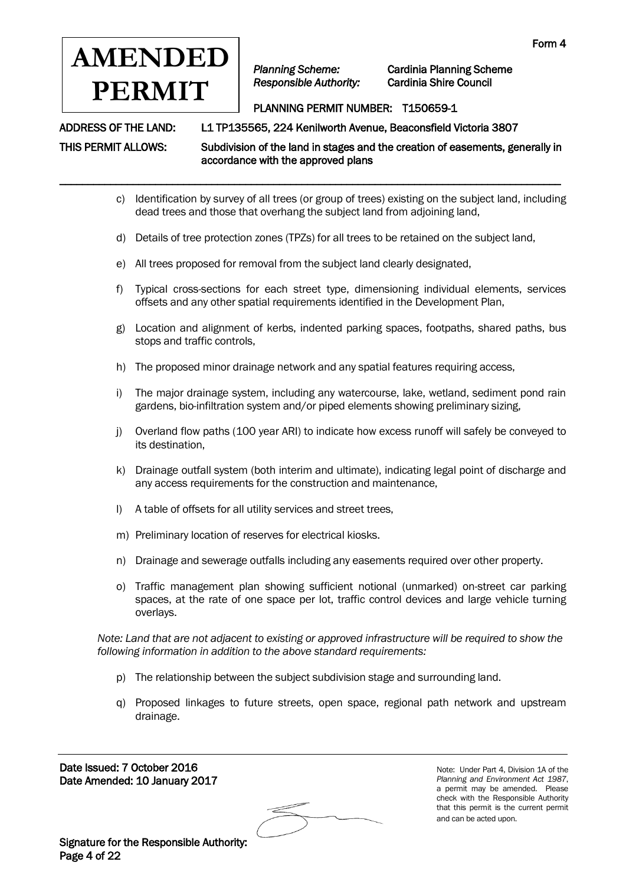

*Planning Scheme:* Cardinia Planning Scheme

# PLANNING PERMIT NUMBER: T150659-1

ADDRESS OF THE LAND: L1 TP135565, 224 Kenilworth Avenue, Beaconsfield Victoria 3807

THIS PERMIT ALLOWS: Subdivision of the land in stages and the creation of easements, generally in

- \_\_\_\_\_\_\_\_\_\_\_\_\_\_\_\_\_\_\_\_\_\_\_\_\_\_\_\_\_\_\_\_\_\_\_\_\_\_\_\_\_\_\_\_\_\_\_\_\_\_\_\_\_\_\_\_\_\_\_\_\_\_\_\_\_\_\_\_\_\_\_\_\_\_\_\_\_\_\_\_\_\_\_\_\_\_\_\_\_ c) Identification by survey of all trees (or group of trees) existing on the subject land, including
	- d) Details of tree protection zones (TPZs) for all trees to be retained on the subject land,
	- e) All trees proposed for removal from the subject land clearly designated,

dead trees and those that overhang the subject land from adjoining land,

accordance with the approved plans

- f) Typical cross-sections for each street type, dimensioning individual elements, services offsets and any other spatial requirements identified in the Development Plan,
- g) Location and alignment of kerbs, indented parking spaces, footpaths, shared paths, bus stops and traffic controls,
- h) The proposed minor drainage network and any spatial features requiring access,
- i) The major drainage system, including any watercourse, lake, wetland, sediment pond rain gardens, bio-infiltration system and/or piped elements showing preliminary sizing,
- j) Overland flow paths (100 year ARI) to indicate how excess runoff will safely be conveyed to its destination,
- k) Drainage outfall system (both interim and ultimate), indicating legal point of discharge and any access requirements for the construction and maintenance,
- l) A table of offsets for all utility services and street trees,
- m) Preliminary location of reserves for electrical kiosks.
- n) Drainage and sewerage outfalls including any easements required over other property.
- o) Traffic management plan showing sufficient notional (unmarked) on-street car parking spaces, at the rate of one space per lot, traffic control devices and large vehicle turning overlays.

*Note: Land that are not adjacent to existing or approved infrastructure will be required to show the following information in addition to the above standard requirements:*

- p) The relationship between the subject subdivision stage and surrounding land.
- q) Proposed linkages to future streets, open space, regional path network and upstream drainage.

Date Issued: 7 October 2016 Date Amended: 10 January 2017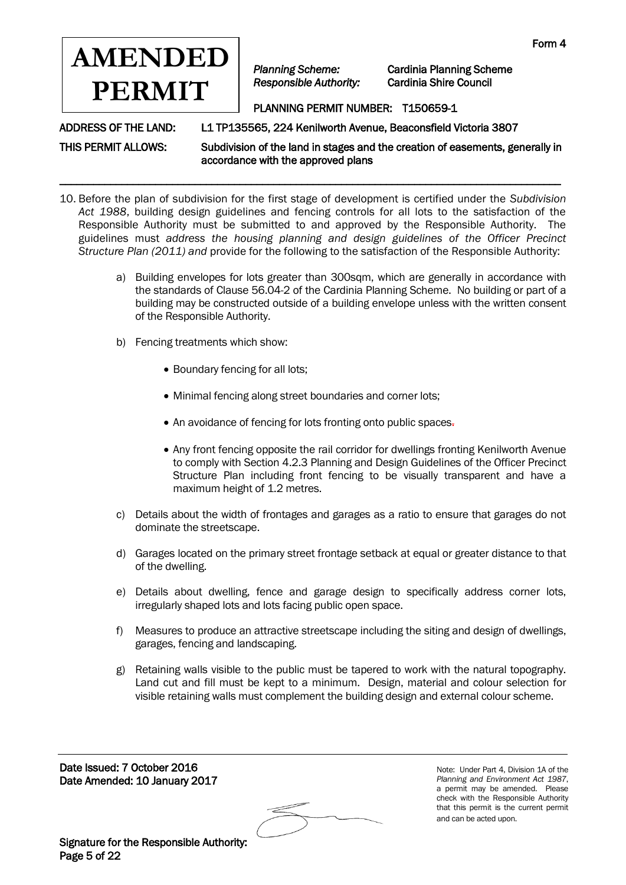

*Planning Scheme:* Cardinia Planning Scheme

# PLANNING PERMIT NUMBER: T150659-1

ADDRESS OF THE LAND: L1 TP135565, 224 Kenilworth Avenue, Beaconsfield Victoria 3807

THIS PERMIT ALLOWS: Subdivision of the land in stages and the creation of easements, generally in accordance with the approved plans

10. Before the plan of subdivision for the first stage of development is certified under the *Subdivision Act 1988*, building design guidelines and fencing controls for all lots to the satisfaction of the Responsible Authority must be submitted to and approved by the Responsible Authority. The guidelines must *address the housing planning and design guidelines of the Officer Precinct Structure Plan (2011) and* provide for the following to the satisfaction of the Responsible Authority:

\_\_\_\_\_\_\_\_\_\_\_\_\_\_\_\_\_\_\_\_\_\_\_\_\_\_\_\_\_\_\_\_\_\_\_\_\_\_\_\_\_\_\_\_\_\_\_\_\_\_\_\_\_\_\_\_\_\_\_\_\_\_\_\_\_\_\_\_\_\_\_\_\_\_\_\_\_\_\_\_\_\_\_\_\_\_\_\_\_

- a) Building envelopes for lots greater than 300sqm, which are generally in accordance with the standards of Clause 56.04-2 of the Cardinia Planning Scheme. No building or part of a building may be constructed outside of a building envelope unless with the written consent of the Responsible Authority.
- b) Fencing treatments which show:
	- Boundary fencing for all lots;
	- Minimal fencing along street boundaries and corner lots;
	- An avoidance of fencing for lots fronting onto public spaces.
	- Any front fencing opposite the rail corridor for dwellings fronting Kenilworth Avenue to comply with Section 4.2.3 Planning and Design Guidelines of the Officer Precinct Structure Plan including front fencing to be visually transparent and have a maximum height of 1.2 metres.
- c) Details about the width of frontages and garages as a ratio to ensure that garages do not dominate the streetscape.
- d) Garages located on the primary street frontage setback at equal or greater distance to that of the dwelling.
- e) Details about dwelling, fence and garage design to specifically address corner lots, irregularly shaped lots and lots facing public open space.
- f) Measures to produce an attractive streetscape including the siting and design of dwellings, garages, fencing and landscaping.
- g) Retaining walls visible to the public must be tapered to work with the natural topography. Land cut and fill must be kept to a minimum. Design, material and colour selection for visible retaining walls must complement the building design and external colour scheme.

Date Issued: 7 October 2016 Date Amended: 10 January 2017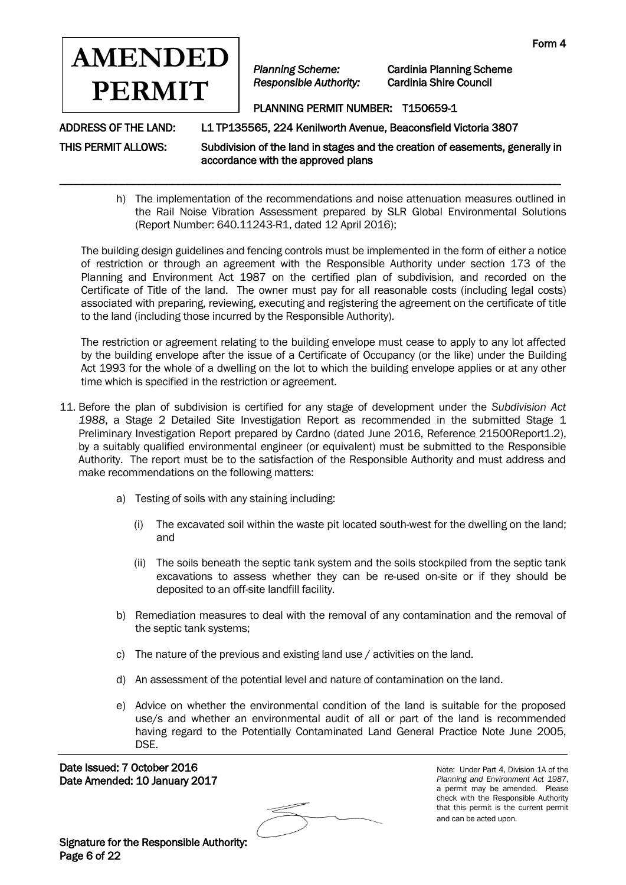

\_\_\_\_\_\_\_\_\_\_\_\_\_\_\_\_\_\_\_\_\_\_\_\_\_\_\_\_\_\_\_\_\_\_\_\_\_\_\_\_\_\_\_\_\_\_\_\_\_\_\_\_\_\_\_\_\_\_\_\_\_\_\_\_\_\_\_\_\_\_\_\_\_\_\_\_\_\_\_\_\_\_\_\_\_\_\_\_\_

*Planning Scheme:* Cardinia Planning Scheme

# PLANNING PERMIT NUMBER: T150659-1

ADDRESS OF THE LAND: L1 TP135565, 224 Kenilworth Avenue, Beaconsfield Victoria 3807

THIS PERMIT ALLOWS: Subdivision of the land in stages and the creation of easements, generally in accordance with the approved plans

> h) The implementation of the recommendations and noise attenuation measures outlined in the Rail Noise Vibration Assessment prepared by SLR Global Environmental Solutions (Report Number: 640.11243-R1, dated 12 April 2016);

The building design guidelines and fencing controls must be implemented in the form of either a notice of restriction or through an agreement with the Responsible Authority under section 173 of the Planning and Environment Act 1987 on the certified plan of subdivision, and recorded on the Certificate of Title of the land. The owner must pay for all reasonable costs (including legal costs) associated with preparing, reviewing, executing and registering the agreement on the certificate of title to the land (including those incurred by the Responsible Authority).

The restriction or agreement relating to the building envelope must cease to apply to any lot affected by the building envelope after the issue of a Certificate of Occupancy (or the like) under the Building Act 1993 for the whole of a dwelling on the lot to which the building envelope applies or at any other time which is specified in the restriction or agreement.

- 11. Before the plan of subdivision is certified for any stage of development under the *Subdivision Act 1988*, a Stage 2 Detailed Site Investigation Report as recommended in the submitted Stage 1 Preliminary Investigation Report prepared by Cardno (dated June 2016, Reference 21500Report1.2), by a suitably qualified environmental engineer (or equivalent) must be submitted to the Responsible Authority. The report must be to the satisfaction of the Responsible Authority and must address and make recommendations on the following matters:
	- a) Testing of soils with any staining including:
		- (i) The excavated soil within the waste pit located south-west for the dwelling on the land; and
		- (ii) The soils beneath the septic tank system and the soils stockpiled from the septic tank excavations to assess whether they can be re-used on-site or if they should be deposited to an off-site landfill facility.
	- b) Remediation measures to deal with the removal of any contamination and the removal of the septic tank systems;
	- c) The nature of the previous and existing land use / activities on the land.
	- d) An assessment of the potential level and nature of contamination on the land.
	- e) Advice on whether the environmental condition of the land is suitable for the proposed use/s and whether an environmental audit of all or part of the land is recommended having regard to the Potentially Contaminated Land General Practice Note June 2005, DSE.

Date Issued: 7 October 2016 Date Amended: 10 January 2017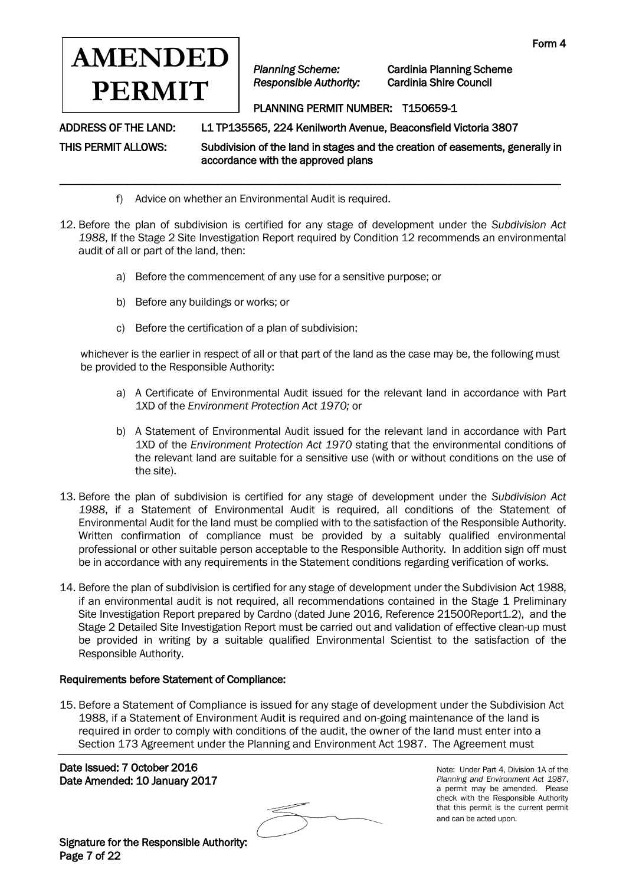

*Planning Scheme:* Cardinia Planning Scheme

# PLANNING PERMIT NUMBER: T150659-1

ADDRESS OF THE LAND: L1 TP135565, 224 Kenilworth Avenue, Beaconsfield Victoria 3807

THIS PERMIT ALLOWS: Subdivision of the land in stages and the creation of easements, generally in accordance with the approved plans

- f) Advice on whether an Environmental Audit is required.
- 12. Before the plan of subdivision is certified for any stage of development under the *Subdivision Act 1988*, If the Stage 2 Site Investigation Report required by Condition 12 recommends an environmental audit of all or part of the land, then:

\_\_\_\_\_\_\_\_\_\_\_\_\_\_\_\_\_\_\_\_\_\_\_\_\_\_\_\_\_\_\_\_\_\_\_\_\_\_\_\_\_\_\_\_\_\_\_\_\_\_\_\_\_\_\_\_\_\_\_\_\_\_\_\_\_\_\_\_\_\_\_\_\_\_\_\_\_\_\_\_\_\_\_\_\_\_\_\_\_

- a) Before the commencement of any use for a sensitive purpose; or
- b) Before any buildings or works; or
- c) Before the certification of a plan of subdivision;

whichever is the earlier in respect of all or that part of the land as the case may be, the following must be provided to the Responsible Authority:

- a) A Certificate of Environmental Audit issued for the relevant land in accordance with Part 1XD of the *Environment Protection Act 1970;* or
- b) A Statement of Environmental Audit issued for the relevant land in accordance with Part 1XD of the *Environment Protection Act 1970* stating that the environmental conditions of the relevant land are suitable for a sensitive use (with or without conditions on the use of the site).
- 13. Before the plan of subdivision is certified for any stage of development under the *Subdivision Act 1988*, if a Statement of Environmental Audit is required, all conditions of the Statement of Environmental Audit for the land must be complied with to the satisfaction of the Responsible Authority. Written confirmation of compliance must be provided by a suitably qualified environmental professional or other suitable person acceptable to the Responsible Authority. In addition sign off must be in accordance with any requirements in the Statement conditions regarding verification of works.
- 14. Before the plan of subdivision is certified for any stage of development under the Subdivision Act 1988, if an environmental audit is not required, all recommendations contained in the Stage 1 Preliminary Site Investigation Report prepared by Cardno (dated June 2016, Reference 21500Report1.2), and the Stage 2 Detailed Site Investigation Report must be carried out and validation of effective clean-up must be provided in writing by a suitable qualified Environmental Scientist to the satisfaction of the Responsible Authority.

#### Requirements before Statement of Compliance:

15. Before a Statement of Compliance is issued for any stage of development under the Subdivision Act 1988, if a Statement of Environment Audit is required and on-going maintenance of the land is required in order to comply with conditions of the audit, the owner of the land must enter into a Section 173 Agreement under the Planning and Environment Act 1987. The Agreement must

Date Issued: 7 October 2016 Date Amended: 10 January 2017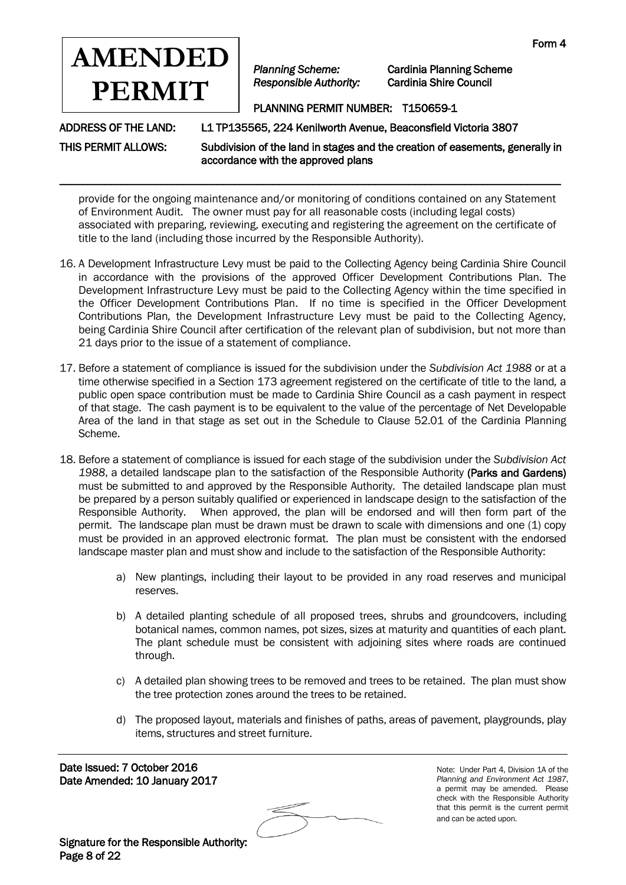

*Planning Scheme:* Cardinia Planning Scheme

# PLANNING PERMIT NUMBER: T150659-1

ADDRESS OF THE LAND: L1 TP135565, 224 Kenilworth Avenue, Beaconsfield Victoria 3807

THIS PERMIT ALLOWS: Subdivision of the land in stages and the creation of easements, generally in accordance with the approved plans

provide for the ongoing maintenance and/or monitoring of conditions contained on any Statement of Environment Audit. The owner must pay for all reasonable costs (including legal costs) associated with preparing, reviewing, executing and registering the agreement on the certificate of title to the land (including those incurred by the Responsible Authority).

\_\_\_\_\_\_\_\_\_\_\_\_\_\_\_\_\_\_\_\_\_\_\_\_\_\_\_\_\_\_\_\_\_\_\_\_\_\_\_\_\_\_\_\_\_\_\_\_\_\_\_\_\_\_\_\_\_\_\_\_\_\_\_\_\_\_\_\_\_\_\_\_\_\_\_\_\_\_\_\_\_\_\_\_\_\_\_\_\_

- 16. A Development Infrastructure Levy must be paid to the Collecting Agency being Cardinia Shire Council in accordance with the provisions of the approved Officer Development Contributions Plan. The Development Infrastructure Levy must be paid to the Collecting Agency within the time specified in the Officer Development Contributions Plan. If no time is specified in the Officer Development Contributions Plan*,* the Development Infrastructure Levy must be paid to the Collecting Agency, being Cardinia Shire Council after certification of the relevant plan of subdivision, but not more than 21 days prior to the issue of a statement of compliance.
- 17. Before a statement of compliance is issued for the subdivision under the *Subdivision Act 1988* or at a time otherwise specified in a Section 173 agreement registered on the certificate of title to the land*,* a public open space contribution must be made to Cardinia Shire Council as a cash payment in respect of that stage. The cash payment is to be equivalent to the value of the percentage of Net Developable Area of the land in that stage as set out in the Schedule to Clause 52.01 of the Cardinia Planning Scheme.
- 18. Before a statement of compliance is issued for each stage of the subdivision under the *Subdivision Act 1988*, a detailed landscape plan to the satisfaction of the Responsible Authority (Parks and Gardens) must be submitted to and approved by the Responsible Authority. The detailed landscape plan must be prepared by a person suitably qualified or experienced in landscape design to the satisfaction of the Responsible Authority. When approved, the plan will be endorsed and will then form part of the permit. The landscape plan must be drawn must be drawn to scale with dimensions and one (1) copy must be provided in an approved electronic format. The plan must be consistent with the endorsed landscape master plan and must show and include to the satisfaction of the Responsible Authority:
	- a) New plantings, including their layout to be provided in any road reserves and municipal reserves.
	- b) A detailed planting schedule of all proposed trees, shrubs and groundcovers, including botanical names, common names, pot sizes, sizes at maturity and quantities of each plant. The plant schedule must be consistent with adjoining sites where roads are continued through.
	- c) A detailed plan showing trees to be removed and trees to be retained. The plan must show the tree protection zones around the trees to be retained.
	- d) The proposed layout, materials and finishes of paths, areas of pavement, playgrounds, play items, structures and street furniture.

Date Issued: 7 October 2016 Date Amended: 10 January 2017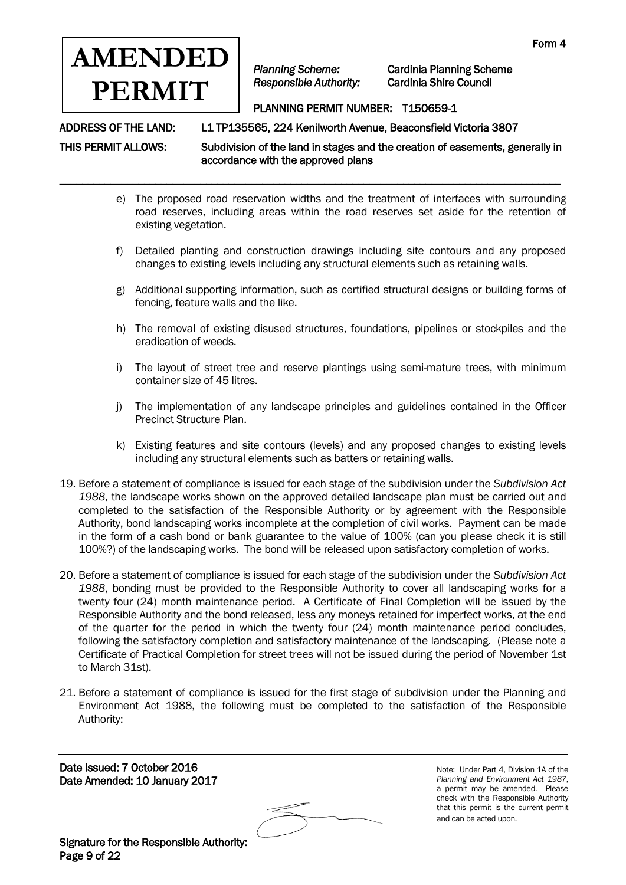

\_\_\_\_\_\_\_\_\_\_\_\_\_\_\_\_\_\_\_\_\_\_\_\_\_\_\_\_\_\_\_\_\_\_\_\_\_\_\_\_\_\_\_\_\_\_\_\_\_\_\_\_\_\_\_\_\_\_\_\_\_\_\_\_\_\_\_\_\_\_\_\_\_\_\_\_\_\_\_\_\_\_\_\_\_\_\_\_\_

*Planning Scheme:* Cardinia Planning Scheme

## PLANNING PERMIT NUMBER: T150659-1

ADDRESS OF THE LAND: L1 TP135565, 224 Kenilworth Avenue, Beaconsfield Victoria 3807

THIS PERMIT ALLOWS: Subdivision of the land in stages and the creation of easements, generally in accordance with the approved plans

- e) The proposed road reservation widths and the treatment of interfaces with surrounding road reserves, including areas within the road reserves set aside for the retention of existing vegetation.
- f) Detailed planting and construction drawings including site contours and any proposed changes to existing levels including any structural elements such as retaining walls.
- g) Additional supporting information, such as certified structural designs or building forms of fencing, feature walls and the like.
- h) The removal of existing disused structures, foundations, pipelines or stockpiles and the eradication of weeds.
- i) The layout of street tree and reserve plantings using semi-mature trees, with minimum container size of 45 litres.
- j) The implementation of any landscape principles and guidelines contained in the Officer Precinct Structure Plan.
- k) Existing features and site contours (levels) and any proposed changes to existing levels including any structural elements such as batters or retaining walls.
- 19. Before a statement of compliance is issued for each stage of the subdivision under the *Subdivision Act 1988*, the landscape works shown on the approved detailed landscape plan must be carried out and completed to the satisfaction of the Responsible Authority or by agreement with the Responsible Authority, bond landscaping works incomplete at the completion of civil works. Payment can be made in the form of a cash bond or bank guarantee to the value of 100% (can you please check it is still 100%?) of the landscaping works. The bond will be released upon satisfactory completion of works.
- 20. Before a statement of compliance is issued for each stage of the subdivision under the *Subdivision Act 1988*, bonding must be provided to the Responsible Authority to cover all landscaping works for a twenty four (24) month maintenance period. A Certificate of Final Completion will be issued by the Responsible Authority and the bond released, less any moneys retained for imperfect works, at the end of the quarter for the period in which the twenty four (24) month maintenance period concludes, following the satisfactory completion and satisfactory maintenance of the landscaping. (Please note a Certificate of Practical Completion for street trees will not be issued during the period of November 1st to March 31st).
- 21. Before a statement of compliance is issued for the first stage of subdivision under the Planning and Environment Act 1988, the following must be completed to the satisfaction of the Responsible Authority:

Date Issued: 7 October 2016 Date Amended: 10 January 2017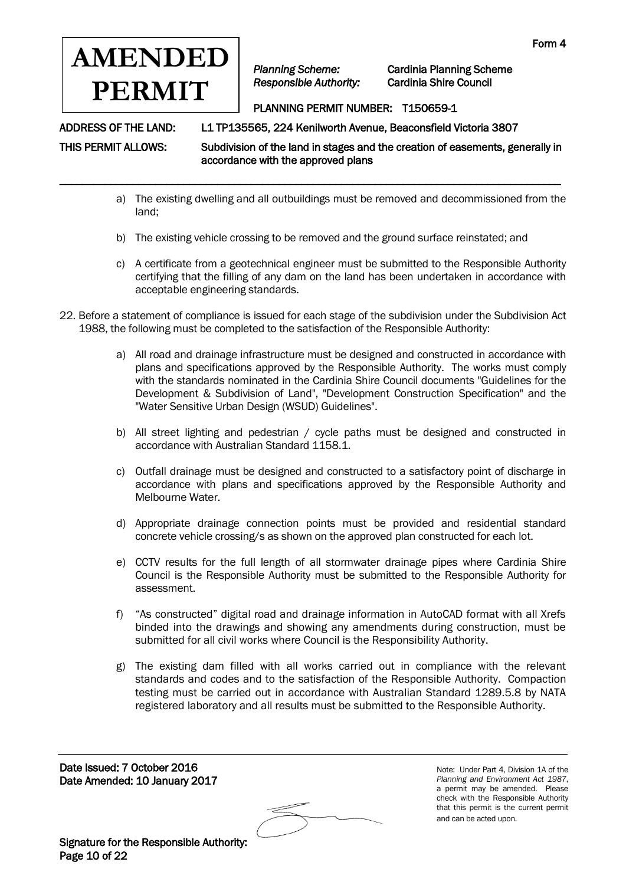

\_\_\_\_\_\_\_\_\_\_\_\_\_\_\_\_\_\_\_\_\_\_\_\_\_\_\_\_\_\_\_\_\_\_\_\_\_\_\_\_\_\_\_\_\_\_\_\_\_\_\_\_\_\_\_\_\_\_\_\_\_\_\_\_\_\_\_\_\_\_\_\_\_\_\_\_\_\_\_\_\_\_\_\_\_\_\_\_\_

*Planning Scheme:* Cardinia Planning Scheme

# PLANNING PERMIT NUMBER: T150659-1

ADDRESS OF THE LAND: L1 TP135565, 224 Kenilworth Avenue, Beaconsfield Victoria 3807

THIS PERMIT ALLOWS: Subdivision of the land in stages and the creation of easements, generally in accordance with the approved plans

- a) The existing dwelling and all outbuildings must be removed and decommissioned from the land;
- b) The existing vehicle crossing to be removed and the ground surface reinstated; and
- c) A certificate from a geotechnical engineer must be submitted to the Responsible Authority certifying that the filling of any dam on the land has been undertaken in accordance with acceptable engineering standards.
- 22. Before a statement of compliance is issued for each stage of the subdivision under the Subdivision Act 1988, the following must be completed to the satisfaction of the Responsible Authority:
	- a) All road and drainage infrastructure must be designed and constructed in accordance with plans and specifications approved by the Responsible Authority. The works must comply with the standards nominated in the Cardinia Shire Council documents "Guidelines for the Development & Subdivision of Land", "Development Construction Specification" and the "Water Sensitive Urban Design (WSUD) Guidelines".
	- b) All street lighting and pedestrian / cycle paths must be designed and constructed in accordance with Australian Standard 1158.1.
	- c) Outfall drainage must be designed and constructed to a satisfactory point of discharge in accordance with plans and specifications approved by the Responsible Authority and Melbourne Water.
	- d) Appropriate drainage connection points must be provided and residential standard concrete vehicle crossing/s as shown on the approved plan constructed for each lot.
	- e) CCTV results for the full length of all stormwater drainage pipes where Cardinia Shire Council is the Responsible Authority must be submitted to the Responsible Authority for assessment.
	- f) "As constructed" digital road and drainage information in AutoCAD format with all Xrefs binded into the drawings and showing any amendments during construction, must be submitted for all civil works where Council is the Responsibility Authority.
	- g) The existing dam filled with all works carried out in compliance with the relevant standards and codes and to the satisfaction of the Responsible Authority. Compaction testing must be carried out in accordance with Australian Standard 1289.5.8 by NATA registered laboratory and all results must be submitted to the Responsible Authority.

Date Issued: 7 October 2016 Date Amended: 10 January 2017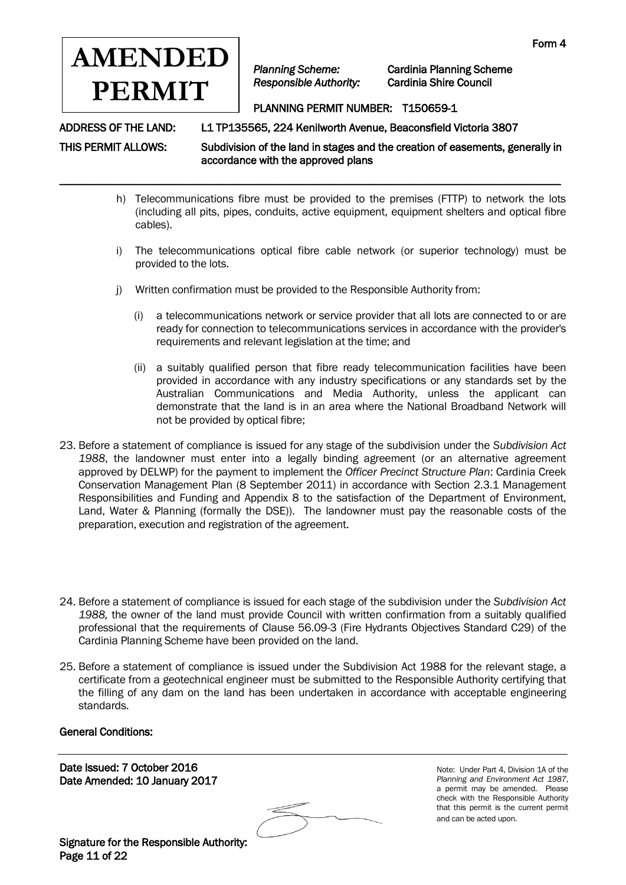

\_\_\_\_\_\_\_\_\_\_\_\_\_\_\_\_\_\_\_\_\_\_\_\_\_\_\_\_\_\_\_\_\_\_\_\_\_\_\_\_\_\_\_\_\_\_\_\_\_\_\_\_\_\_\_\_\_\_\_\_\_\_\_\_\_\_\_\_\_\_\_\_\_\_\_\_\_\_\_\_\_\_\_\_\_\_\_\_\_

*Planning Scheme:* Cardinia Planning Scheme

## PLANNING PERMIT NUMBER: T150659-1

ADDRESS OF THE LAND: L1 TP135565, 224 Kenilworth Avenue, Beaconsfield Victoria 3807

THIS PERMIT ALLOWS: Subdivision of the land in stages and the creation of easements, generally in accordance with the approved plans

- h) Telecommunications fibre must be provided to the premises (FTTP) to network the lots (including all pits, pipes, conduits, active equipment, equipment shelters and optical fibre cables).
- i) The telecommunications optical fibre cable network (or superior technology) must be provided to the lots.
- j) Written confirmation must be provided to the Responsible Authority from:
	- (i) a telecommunications network or service provider that all lots are connected to or are ready for connection to telecommunications services in accordance with the provider's requirements and relevant legislation at the time; and
	- (ii) a suitably qualified person that fibre ready telecommunication facilities have been provided in accordance with any industry specifications or any standards set by the Australian Communications and Media Authority, unless the applicant can demonstrate that the land is in an area where the National Broadband Network will not be provided by optical fibre;
- 23. Before a statement of compliance is issued for any stage of the subdivision under the *Subdivision Act 1988*, the landowner must enter into a legally binding agreement (or an alternative agreement approved by DELWP) for the payment to implement the *Officer Precinct Structure Plan*: Cardinia Creek Conservation Management Plan (8 September 2011) in accordance with Section 2.3.1 Management Responsibilities and Funding and Appendix 8 to the satisfaction of the Department of Environment, Land, Water & Planning (formally the DSE)). The landowner must pay the reasonable costs of the preparation, execution and registration of the agreement.
- 24. Before a statement of compliance is issued for each stage of the subdivision under the *Subdivision Act 1988,* the owner of the land must provide Council with written confirmation from a suitably qualified professional that the requirements of Clause 56.09-3 (Fire Hydrants Objectives Standard C29) of the Cardinia Planning Scheme have been provided on the land.
- 25. Before a statement of compliance is issued under the Subdivision Act 1988 for the relevant stage, a certificate from a geotechnical engineer must be submitted to the Responsible Authority certifying that the filling of any dam on the land has been undertaken in accordance with acceptable engineering standards.

#### General Conditions:

Date Issued: 7 October 2016 Date Amended: 10 January 2017

Note: Under Part 4, Division 1A of the *Planning and Environment Act 1987*, a permit may be amended. Please check with the Responsible Authority that this permit is the current permit and can be acted upon.

Signature for the Responsible Authority: Page 11 of 22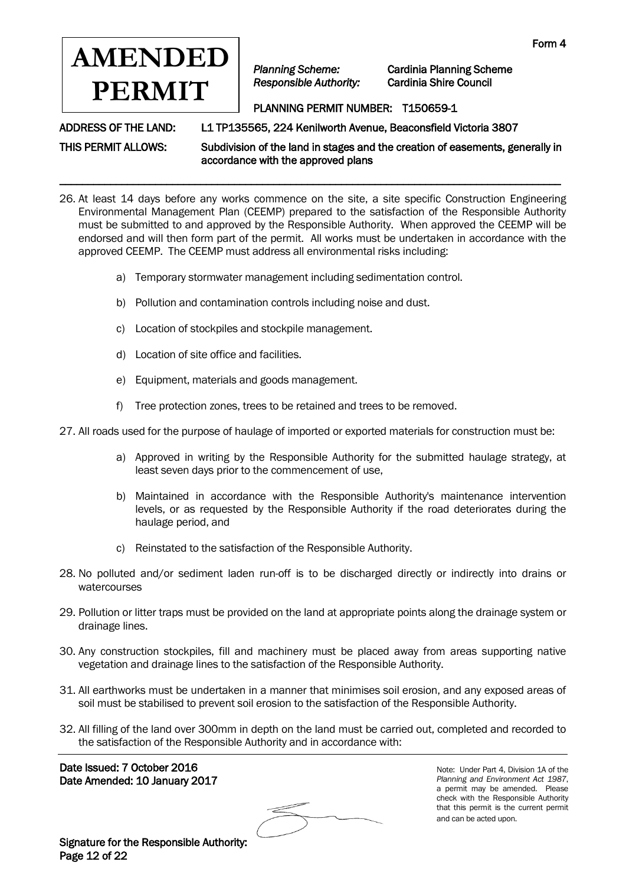

*Planning Scheme:* Cardinia Planning Scheme

# PLANNING PERMIT NUMBER: T150659-1

ADDRESS OF THE LAND: L1 TP135565, 224 Kenilworth Avenue, Beaconsfield Victoria 3807

THIS PERMIT ALLOWS: Subdivision of the land in stages and the creation of easements, generally in accordance with the approved plans

26. At least 14 days before any works commence on the site, a site specific Construction Engineering Environmental Management Plan (CEEMP) prepared to the satisfaction of the Responsible Authority must be submitted to and approved by the Responsible Authority. When approved the CEEMP will be endorsed and will then form part of the permit. All works must be undertaken in accordance with the approved CEEMP. The CEEMP must address all environmental risks including:

\_\_\_\_\_\_\_\_\_\_\_\_\_\_\_\_\_\_\_\_\_\_\_\_\_\_\_\_\_\_\_\_\_\_\_\_\_\_\_\_\_\_\_\_\_\_\_\_\_\_\_\_\_\_\_\_\_\_\_\_\_\_\_\_\_\_\_\_\_\_\_\_\_\_\_\_\_\_\_\_\_\_\_\_\_\_\_\_\_

- a) Temporary stormwater management including sedimentation control.
- b) Pollution and contamination controls including noise and dust.
- c) Location of stockpiles and stockpile management.
- d) Location of site office and facilities.
- e) Equipment, materials and goods management.
- f) Tree protection zones, trees to be retained and trees to be removed.

27. All roads used for the purpose of haulage of imported or exported materials for construction must be:

- a) Approved in writing by the Responsible Authority for the submitted haulage strategy, at least seven days prior to the commencement of use,
- b) Maintained in accordance with the Responsible Authority's maintenance intervention levels, or as requested by the Responsible Authority if the road deteriorates during the haulage period, and
- c) Reinstated to the satisfaction of the Responsible Authority.
- 28. No polluted and/or sediment laden run-off is to be discharged directly or indirectly into drains or watercourses
- 29. Pollution or litter traps must be provided on the land at appropriate points along the drainage system or drainage lines.
- 30. Any construction stockpiles, fill and machinery must be placed away from areas supporting native vegetation and drainage lines to the satisfaction of the Responsible Authority.
- 31. All earthworks must be undertaken in a manner that minimises soil erosion, and any exposed areas of soil must be stabilised to prevent soil erosion to the satisfaction of the Responsible Authority.
- 32. All filling of the land over 300mm in depth on the land must be carried out, completed and recorded to the satisfaction of the Responsible Authority and in accordance with:

Date Issued: 7 October 2016 Date Amended: 10 January 2017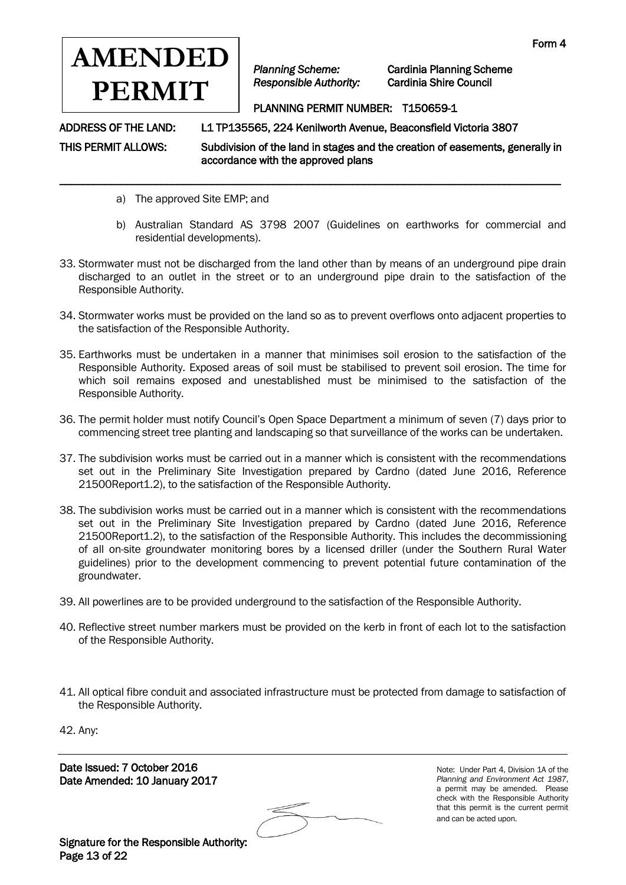

*Planning Scheme:* Cardinia Planning Scheme

## PLANNING PERMIT NUMBER: T150659-1

ADDRESS OF THE LAND: L1 TP135565, 224 Kenilworth Avenue, Beaconsfield Victoria 3807

THIS PERMIT ALLOWS: Subdivision of the land in stages and the creation of easements, generally in accordance with the approved plans

- a) The approved Site EMP; and
- b) Australian Standard AS 3798 2007 (Guidelines on earthworks for commercial and residential developments).
- 33. Stormwater must not be discharged from the land other than by means of an underground pipe drain discharged to an outlet in the street or to an underground pipe drain to the satisfaction of the Responsible Authority.

\_\_\_\_\_\_\_\_\_\_\_\_\_\_\_\_\_\_\_\_\_\_\_\_\_\_\_\_\_\_\_\_\_\_\_\_\_\_\_\_\_\_\_\_\_\_\_\_\_\_\_\_\_\_\_\_\_\_\_\_\_\_\_\_\_\_\_\_\_\_\_\_\_\_\_\_\_\_\_\_\_\_\_\_\_\_\_\_\_

- 34. Stormwater works must be provided on the land so as to prevent overflows onto adjacent properties to the satisfaction of the Responsible Authority.
- 35. Earthworks must be undertaken in a manner that minimises soil erosion to the satisfaction of the Responsible Authority. Exposed areas of soil must be stabilised to prevent soil erosion. The time for which soil remains exposed and unestablished must be minimised to the satisfaction of the Responsible Authority.
- 36. The permit holder must notify Council's Open Space Department a minimum of seven (7) days prior to commencing street tree planting and landscaping so that surveillance of the works can be undertaken.
- 37. The subdivision works must be carried out in a manner which is consistent with the recommendations set out in the Preliminary Site Investigation prepared by Cardno (dated June 2016, Reference 21500Report1.2), to the satisfaction of the Responsible Authority.
- 38. The subdivision works must be carried out in a manner which is consistent with the recommendations set out in the Preliminary Site Investigation prepared by Cardno (dated June 2016, Reference 21500Report1.2), to the satisfaction of the Responsible Authority. This includes the decommissioning of all on-site groundwater monitoring bores by a licensed driller (under the Southern Rural Water guidelines) prior to the development commencing to prevent potential future contamination of the groundwater.
- 39. All powerlines are to be provided underground to the satisfaction of the Responsible Authority.
- 40. Reflective street number markers must be provided on the kerb in front of each lot to the satisfaction of the Responsible Authority.
- 41. All optical fibre conduit and associated infrastructure must be protected from damage to satisfaction of the Responsible Authority.

42. Any:

Date Issued: 7 October 2016 Date Amended: 10 January 2017

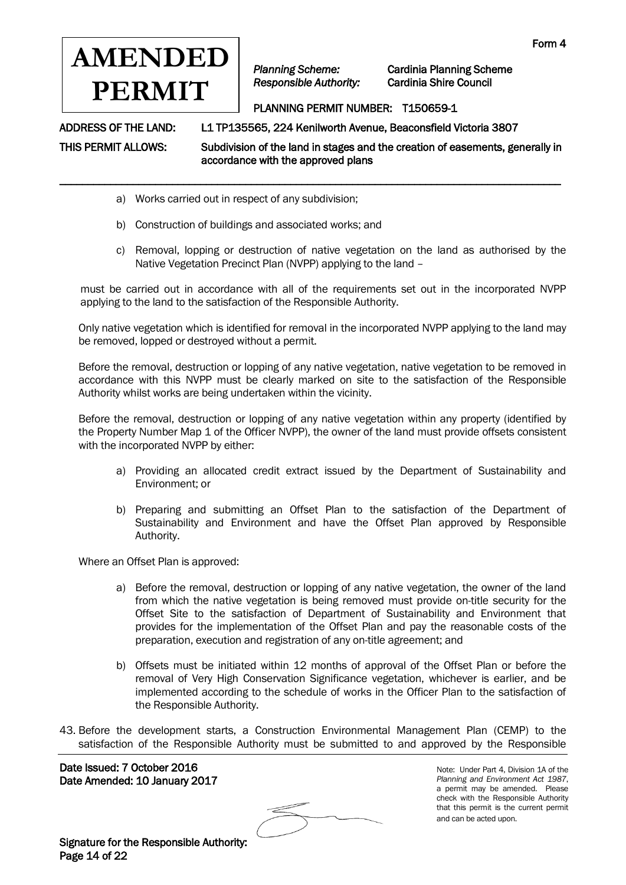

\_\_\_\_\_\_\_\_\_\_\_\_\_\_\_\_\_\_\_\_\_\_\_\_\_\_\_\_\_\_\_\_\_\_\_\_\_\_\_\_\_\_\_\_\_\_\_\_\_\_\_\_\_\_\_\_\_\_\_\_\_\_\_\_\_\_\_\_\_\_\_\_\_\_\_\_\_\_\_\_\_\_\_\_\_\_\_\_\_

*Planning Scheme:* Cardinia Planning Scheme

# PLANNING PERMIT NUMBER: T150659-1

ADDRESS OF THE LAND: L1 TP135565, 224 Kenilworth Avenue, Beaconsfield Victoria 3807

THIS PERMIT ALLOWS: Subdivision of the land in stages and the creation of easements, generally in accordance with the approved plans

- a) Works carried out in respect of any subdivision;
- b) Construction of buildings and associated works; and
- c) Removal, lopping or destruction of native vegetation on the land as authorised by the Native Vegetation Precinct Plan (NVPP) applying to the land –

must be carried out in accordance with all of the requirements set out in the incorporated NVPP applying to the land to the satisfaction of the Responsible Authority.

Only native vegetation which is identified for removal in the incorporated NVPP applying to the land may be removed, lopped or destroyed without a permit.

Before the removal, destruction or lopping of any native vegetation, native vegetation to be removed in accordance with this NVPP must be clearly marked on site to the satisfaction of the Responsible Authority whilst works are being undertaken within the vicinity.

Before the removal, destruction or lopping of any native vegetation within any property (identified by the Property Number Map 1 of the Officer NVPP), the owner of the land must provide offsets consistent with the incorporated NVPP by either:

- a) Providing an allocated credit extract issued by the Department of Sustainability and Environment; or
- b) Preparing and submitting an Offset Plan to the satisfaction of the Department of Sustainability and Environment and have the Offset Plan approved by Responsible Authority.

Where an Offset Plan is approved:

- a) Before the removal, destruction or lopping of any native vegetation, the owner of the land from which the native vegetation is being removed must provide on-title security for the Offset Site to the satisfaction of Department of Sustainability and Environment that provides for the implementation of the Offset Plan and pay the reasonable costs of the preparation, execution and registration of any on-title agreement; and
- b) Offsets must be initiated within 12 months of approval of the Offset Plan or before the removal of Very High Conservation Significance vegetation, whichever is earlier, and be implemented according to the schedule of works in the Officer Plan to the satisfaction of the Responsible Authority.
- 43. Before the development starts, a Construction Environmental Management Plan (CEMP) to the satisfaction of the Responsible Authority must be submitted to and approved by the Responsible

Date Issued: 7 October 2016 Date Amended: 10 January 2017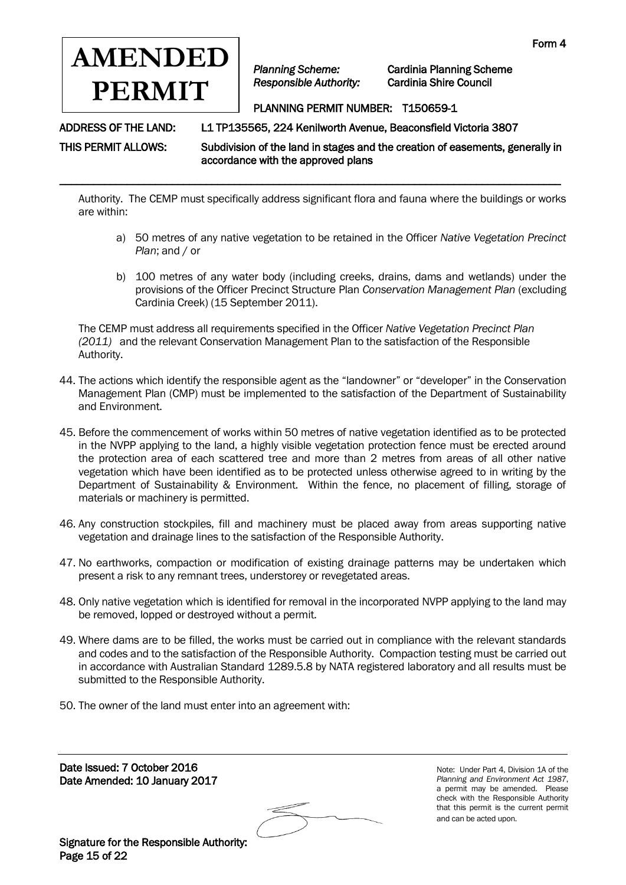

*Planning Scheme:* Cardinia Planning Scheme

# PLANNING PERMIT NUMBER: T150659-1

ADDRESS OF THE LAND: L1 TP135565, 224 Kenilworth Avenue, Beaconsfield Victoria 3807

THIS PERMIT ALLOWS: Subdivision of the land in stages and the creation of easements, generally in accordance with the approved plans

Authority. The CEMP must specifically address significant flora and fauna where the buildings or works are within:

\_\_\_\_\_\_\_\_\_\_\_\_\_\_\_\_\_\_\_\_\_\_\_\_\_\_\_\_\_\_\_\_\_\_\_\_\_\_\_\_\_\_\_\_\_\_\_\_\_\_\_\_\_\_\_\_\_\_\_\_\_\_\_\_\_\_\_\_\_\_\_\_\_\_\_\_\_\_\_\_\_\_\_\_\_\_\_\_\_

- a) 50 metres of any native vegetation to be retained in the Officer *Native Vegetation Precinct Plan*; and / or
- b) 100 metres of any water body (including creeks, drains, dams and wetlands) under the provisions of the Officer Precinct Structure Plan *Conservation Management Plan* (excluding Cardinia Creek) (15 September 2011).

The CEMP must address all requirements specified in the Officer *Native Vegetation Precinct Plan (2011)* and the relevant Conservation Management Plan to the satisfaction of the Responsible Authority.

- 44. The actions which identify the responsible agent as the "landowner" or "developer" in the Conservation Management Plan (CMP) must be implemented to the satisfaction of the Department of Sustainability and Environment.
- 45. Before the commencement of works within 50 metres of native vegetation identified as to be protected in the NVPP applying to the land, a highly visible vegetation protection fence must be erected around the protection area of each scattered tree and more than 2 metres from areas of all other native vegetation which have been identified as to be protected unless otherwise agreed to in writing by the Department of Sustainability & Environment. Within the fence, no placement of filling, storage of materials or machinery is permitted.
- 46. Any construction stockpiles, fill and machinery must be placed away from areas supporting native vegetation and drainage lines to the satisfaction of the Responsible Authority.
- 47. No earthworks, compaction or modification of existing drainage patterns may be undertaken which present a risk to any remnant trees, understorey or revegetated areas.
- 48. Only native vegetation which is identified for removal in the incorporated NVPP applying to the land may be removed, lopped or destroyed without a permit.
- 49. Where dams are to be filled, the works must be carried out in compliance with the relevant standards and codes and to the satisfaction of the Responsible Authority. Compaction testing must be carried out in accordance with Australian Standard 1289.5.8 by NATA registered laboratory and all results must be submitted to the Responsible Authority.
- 50. The owner of the land must enter into an agreement with:

Date Issued: 7 October 2016 Date Amended: 10 January 2017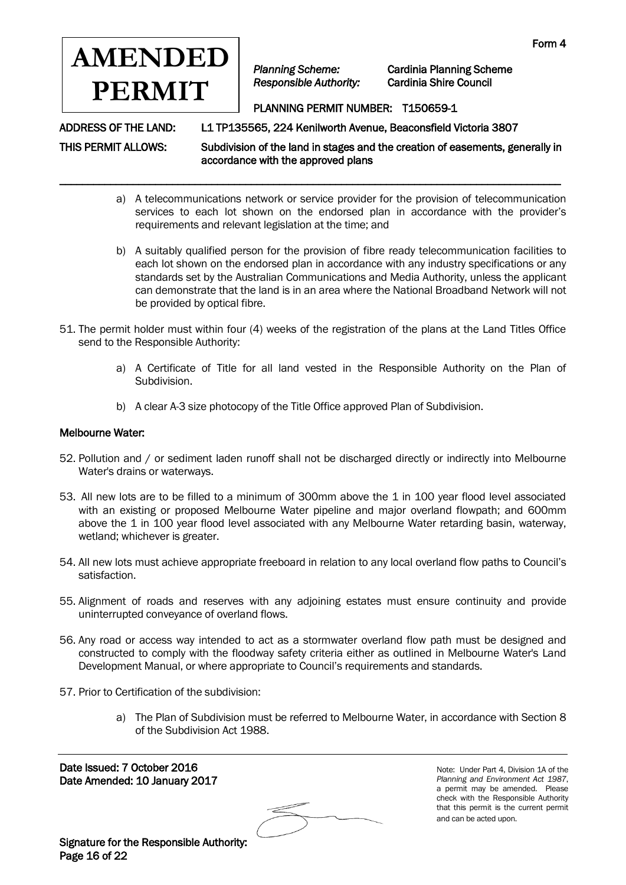

\_\_\_\_\_\_\_\_\_\_\_\_\_\_\_\_\_\_\_\_\_\_\_\_\_\_\_\_\_\_\_\_\_\_\_\_\_\_\_\_\_\_\_\_\_\_\_\_\_\_\_\_\_\_\_\_\_\_\_\_\_\_\_\_\_\_\_\_\_\_\_\_\_\_\_\_\_\_\_\_\_\_\_\_\_\_\_\_\_

*Planning Scheme:* Cardinia Planning Scheme

## PLANNING PERMIT NUMBER: T150659-1

ADDRESS OF THE LAND: L1 TP135565, 224 Kenilworth Avenue, Beaconsfield Victoria 3807

THIS PERMIT ALLOWS: Subdivision of the land in stages and the creation of easements, generally in accordance with the approved plans

- a) A telecommunications network or service provider for the provision of telecommunication services to each lot shown on the endorsed plan in accordance with the provider's requirements and relevant legislation at the time; and
- b) A suitably qualified person for the provision of fibre ready telecommunication facilities to each lot shown on the endorsed plan in accordance with any industry specifications or any standards set by the Australian Communications and Media Authority, unless the applicant can demonstrate that the land is in an area where the National Broadband Network will not be provided by optical fibre.
- 51. The permit holder must within four (4) weeks of the registration of the plans at the Land Titles Office send to the Responsible Authority:
	- a) A Certificate of Title for all land vested in the Responsible Authority on the Plan of Subdivision.
	- b) A clear A-3 size photocopy of the Title Office approved Plan of Subdivision.

#### Melbourne Water:

- 52. Pollution and / or sediment laden runoff shall not be discharged directly or indirectly into Melbourne Water's drains or waterways.
- 53. All new lots are to be filled to a minimum of 300mm above the 1 in 100 year flood level associated with an existing or proposed Melbourne Water pipeline and major overland flowpath; and 600mm above the 1 in 100 year flood level associated with any Melbourne Water retarding basin, waterway, wetland; whichever is greater.
- 54. All new lots must achieve appropriate freeboard in relation to any local overland flow paths to Council's satisfaction.
- 55. Alignment of roads and reserves with any adjoining estates must ensure continuity and provide uninterrupted conveyance of overland flows.
- 56. Any road or access way intended to act as a stormwater overland flow path must be designed and constructed to comply with the floodway safety criteria either as outlined in Melbourne Water's Land Development Manual, or where appropriate to Council's requirements and standards.
- 57. Prior to Certification of the subdivision:
	- a) The Plan of Subdivision must be referred to Melbourne Water, in accordance with Section 8 of the Subdivision Act 1988.

Date Issued: 7 October 2016 Date Amended: 10 January 2017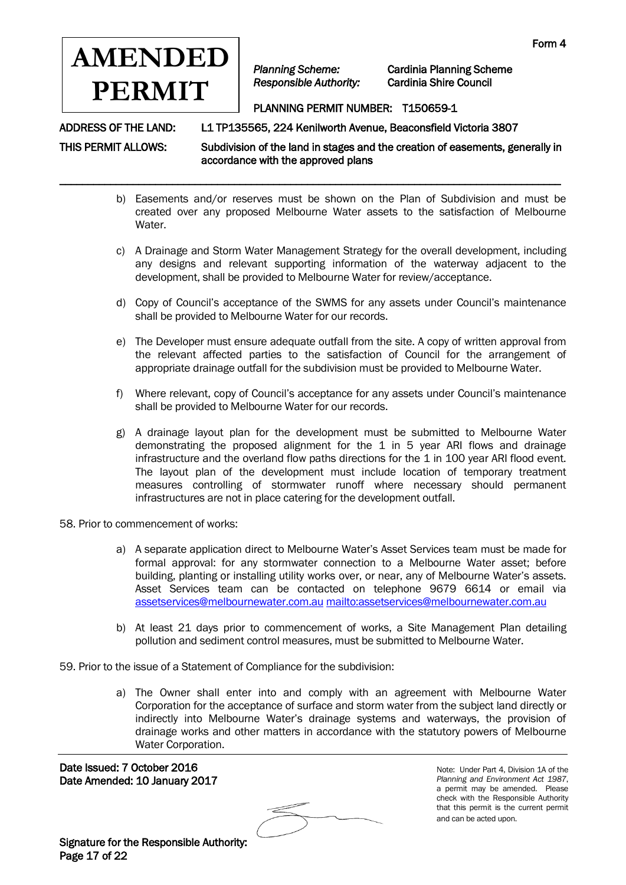

\_\_\_\_\_\_\_\_\_\_\_\_\_\_\_\_\_\_\_\_\_\_\_\_\_\_\_\_\_\_\_\_\_\_\_\_\_\_\_\_\_\_\_\_\_\_\_\_\_\_\_\_\_\_\_\_\_\_\_\_\_\_\_\_\_\_\_\_\_\_\_\_\_\_\_\_\_\_\_\_\_\_\_\_\_\_\_\_\_

*Planning Scheme:* Cardinia Planning Scheme

## PLANNING PERMIT NUMBER: T150659-1

ADDRESS OF THE LAND: L1 TP135565, 224 Kenilworth Avenue, Beaconsfield Victoria 3807

THIS PERMIT ALLOWS: Subdivision of the land in stages and the creation of easements, generally in accordance with the approved plans

- b) Easements and/or reserves must be shown on the Plan of Subdivision and must be created over any proposed Melbourne Water assets to the satisfaction of Melbourne Water.
- c) A Drainage and Storm Water Management Strategy for the overall development, including any designs and relevant supporting information of the waterway adjacent to the development, shall be provided to Melbourne Water for review/acceptance.
- d) Copy of Council's acceptance of the SWMS for any assets under Council's maintenance shall be provided to Melbourne Water for our records.
- e) The Developer must ensure adequate outfall from the site. A copy of written approval from the relevant affected parties to the satisfaction of Council for the arrangement of appropriate drainage outfall for the subdivision must be provided to Melbourne Water.
- f) Where relevant, copy of Council's acceptance for any assets under Council's maintenance shall be provided to Melbourne Water for our records.
- g) A drainage layout plan for the development must be submitted to Melbourne Water demonstrating the proposed alignment for the 1 in 5 year ARI flows and drainage infrastructure and the overland flow paths directions for the 1 in 100 year ARI flood event. The layout plan of the development must include location of temporary treatment measures controlling of stormwater runoff where necessary should permanent infrastructures are not in place catering for the development outfall.
- 58. Prior to commencement of works:
	- a) A separate application direct to Melbourne Water's Asset Services team must be made for formal approval: for any stormwater connection to a Melbourne Water asset; before building, planting or installing utility works over, or near, any of Melbourne Water's assets. Asset Services team can be contacted on telephone 9679 6614 or email via [assetservices@melbournewater.com.au](mailto:assetservices@melbournewater.com.au) <mailto:assetservices@melbournewater.com.au>
	- b) At least 21 days prior to commencement of works, a Site Management Plan detailing pollution and sediment control measures, must be submitted to Melbourne Water.
- 59. Prior to the issue of a Statement of Compliance for the subdivision:
	- a) The Owner shall enter into and comply with an agreement with Melbourne Water Corporation for the acceptance of surface and storm water from the subject land directly or indirectly into Melbourne Water's drainage systems and waterways, the provision of drainage works and other matters in accordance with the statutory powers of Melbourne Water Corporation.

Date Issued: 7 October 2016 Date Amended: 10 January 2017

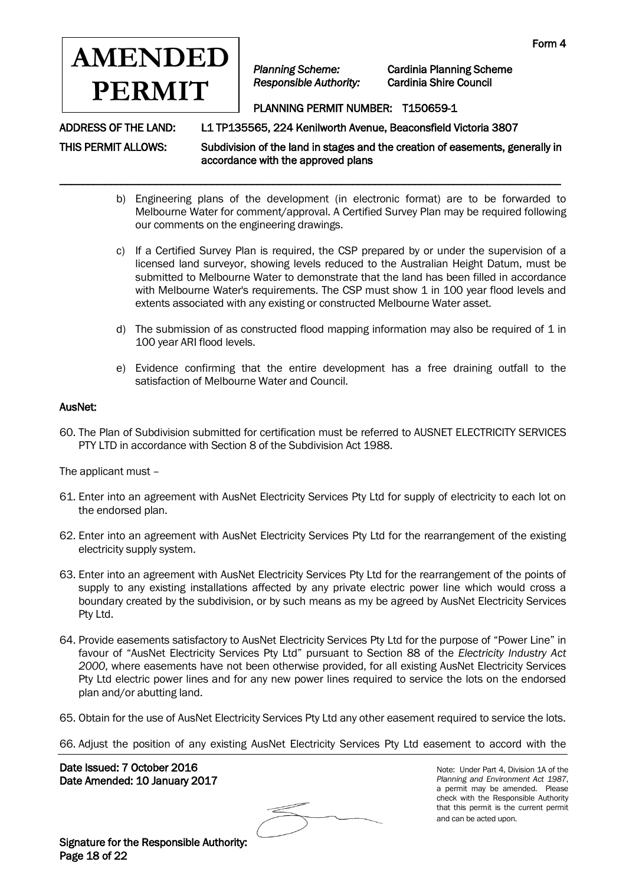

\_\_\_\_\_\_\_\_\_\_\_\_\_\_\_\_\_\_\_\_\_\_\_\_\_\_\_\_\_\_\_\_\_\_\_\_\_\_\_\_\_\_\_\_\_\_\_\_\_\_\_\_\_\_\_\_\_\_\_\_\_\_\_\_\_\_\_\_\_\_\_\_\_\_\_\_\_\_\_\_\_\_\_\_\_\_\_\_\_

*Planning Scheme:* Cardinia Planning Scheme

## PLANNING PERMIT NUMBER: T150659-1

ADDRESS OF THE LAND: L1 TP135565, 224 Kenilworth Avenue, Beaconsfield Victoria 3807

THIS PERMIT ALLOWS: Subdivision of the land in stages and the creation of easements, generally in accordance with the approved plans

- b) Engineering plans of the development (in electronic format) are to be forwarded to Melbourne Water for comment/approval. A Certified Survey Plan may be required following our comments on the engineering drawings.
- c) If a Certified Survey Plan is required, the CSP prepared by or under the supervision of a licensed land surveyor, showing levels reduced to the Australian Height Datum, must be submitted to Melbourne Water to demonstrate that the land has been filled in accordance with Melbourne Water's requirements. The CSP must show 1 in 100 year flood levels and extents associated with any existing or constructed Melbourne Water asset.
- d) The submission of as constructed flood mapping information may also be required of  $1$  in 100 year ARI flood levels.
- e) Evidence confirming that the entire development has a free draining outfall to the satisfaction of Melbourne Water and Council.

#### AusNet:

60. The Plan of Subdivision submitted for certification must be referred to AUSNET ELECTRICITY SERVICES PTY LTD in accordance with Section 8 of the Subdivision Act 1988.

The applicant must –

- 61. Enter into an agreement with AusNet Electricity Services Pty Ltd for supply of electricity to each lot on the endorsed plan.
- 62. Enter into an agreement with AusNet Electricity Services Pty Ltd for the rearrangement of the existing electricity supply system.
- 63. Enter into an agreement with AusNet Electricity Services Pty Ltd for the rearrangement of the points of supply to any existing installations affected by any private electric power line which would cross a boundary created by the subdivision, or by such means as my be agreed by AusNet Electricity Services Pty Ltd.
- 64. Provide easements satisfactory to AusNet Electricity Services Pty Ltd for the purpose of "Power Line" in favour of "AusNet Electricity Services Pty Ltd" pursuant to Section 88 of the *Electricity Industry Act 2000*, where easements have not been otherwise provided, for all existing AusNet Electricity Services Pty Ltd electric power lines and for any new power lines required to service the lots on the endorsed plan and/or abutting land.
- 65. Obtain for the use of AusNet Electricity Services Pty Ltd any other easement required to service the lots.

66. Adjust the position of any existing AusNet Electricity Services Pty Ltd easement to accord with the

Date Issued: 7 October 2016 Date Amended: 10 January 2017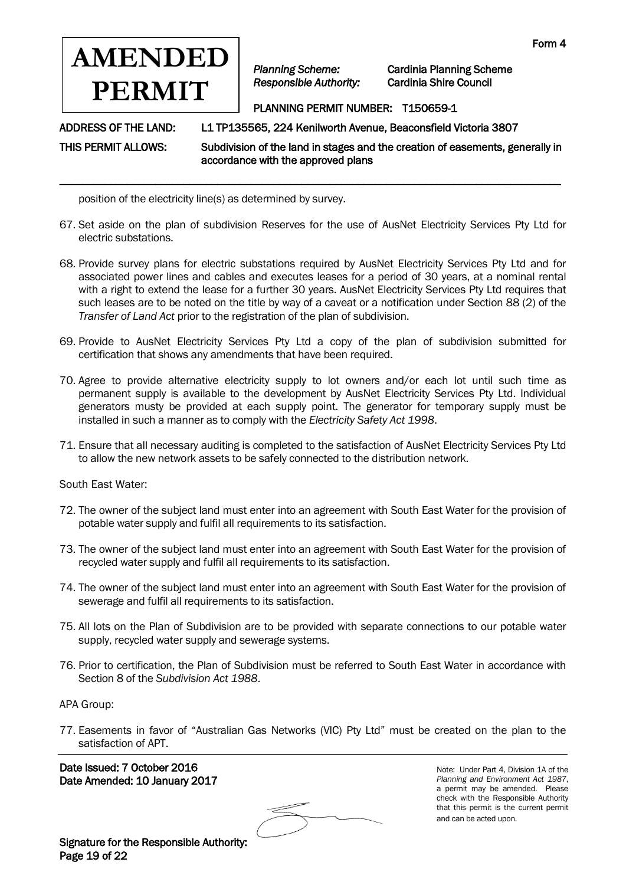

*Planning Scheme:* Cardinia Planning Scheme

#### PLANNING PERMIT NUMBER: T150659-1

ADDRESS OF THE LAND: L1 TP135565, 224 Kenilworth Avenue, Beaconsfield Victoria 3807

THIS PERMIT ALLOWS: Subdivision of the land in stages and the creation of easements, generally in accordance with the approved plans

position of the electricity line(s) as determined by survey.

67. Set aside on the plan of subdivision Reserves for the use of AusNet Electricity Services Pty Ltd for electric substations.

\_\_\_\_\_\_\_\_\_\_\_\_\_\_\_\_\_\_\_\_\_\_\_\_\_\_\_\_\_\_\_\_\_\_\_\_\_\_\_\_\_\_\_\_\_\_\_\_\_\_\_\_\_\_\_\_\_\_\_\_\_\_\_\_\_\_\_\_\_\_\_\_\_\_\_\_\_\_\_\_\_\_\_\_\_\_\_\_\_

- 68. Provide survey plans for electric substations required by AusNet Electricity Services Pty Ltd and for associated power lines and cables and executes leases for a period of 30 years, at a nominal rental with a right to extend the lease for a further 30 years. AusNet Electricity Services Pty Ltd requires that such leases are to be noted on the title by way of a caveat or a notification under Section 88 (2) of the *Transfer of Land Act* prior to the registration of the plan of subdivision.
- 69. Provide to AusNet Electricity Services Pty Ltd a copy of the plan of subdivision submitted for certification that shows any amendments that have been required.
- 70. Agree to provide alternative electricity supply to lot owners and/or each lot until such time as permanent supply is available to the development by AusNet Electricity Services Pty Ltd. Individual generators musty be provided at each supply point. The generator for temporary supply must be installed in such a manner as to comply with the *Electricity Safety Act 1998*.
- 71. Ensure that all necessary auditing is completed to the satisfaction of AusNet Electricity Services Pty Ltd to allow the new network assets to be safely connected to the distribution network.

South East Water:

- 72. The owner of the subject land must enter into an agreement with South East Water for the provision of potable water supply and fulfil all requirements to its satisfaction.
- 73. The owner of the subject land must enter into an agreement with South East Water for the provision of recycled water supply and fulfil all requirements to its satisfaction.
- 74. The owner of the subject land must enter into an agreement with South East Water for the provision of sewerage and fulfil all requirements to its satisfaction.
- 75. All lots on the Plan of Subdivision are to be provided with separate connections to our potable water supply, recycled water supply and sewerage systems.
- 76. Prior to certification, the Plan of Subdivision must be referred to South East Water in accordance with Section 8 of the *Subdivision Act 1988*.

APA Group:

77. Easements in favor of "Australian Gas Networks (VIC) Pty Ltd" must be created on the plan to the satisfaction of APT.

 Date Issued: 7 October 2016 Date Amended: 10 January 2017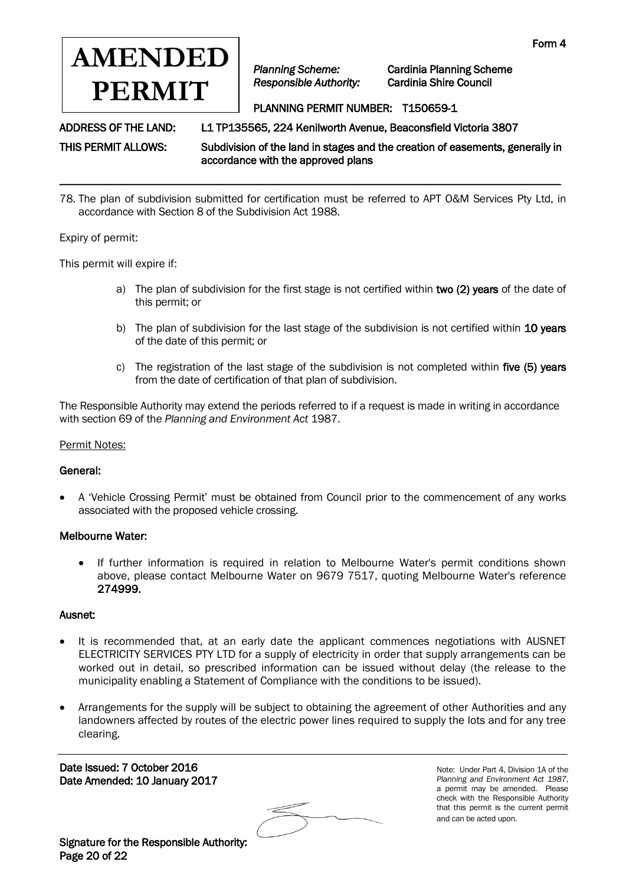

*Planning Scheme:* Cardinia Planning Scheme

## PLANNING PERMIT NUMBER: T150659-1

ADDRESS OF THE LAND: L1 TP135565, 224 Kenilworth Avenue, Beaconsfield Victoria 3807

THIS PERMIT ALLOWS: Subdivision of the land in stages and the creation of easements, generally in accordance with the approved plans

78. The plan of subdivision submitted for certification must be referred to APT O&M Services Pty Ltd, in accordance with Section 8 of the Subdivision Act 1988.

\_\_\_\_\_\_\_\_\_\_\_\_\_\_\_\_\_\_\_\_\_\_\_\_\_\_\_\_\_\_\_\_\_\_\_\_\_\_\_\_\_\_\_\_\_\_\_\_\_\_\_\_\_\_\_\_\_\_\_\_\_\_\_\_\_\_\_\_\_\_\_\_\_\_\_\_\_\_\_\_\_\_\_\_\_\_\_\_\_

Expiry of permit:

This permit will expire if:

- a) The plan of subdivision for the first stage is not certified within two (2) years of the date of this permit; or
- b) The plan of subdivision for the last stage of the subdivision is not certified within 10 years of the date of this permit; or
- c) The registration of the last stage of the subdivision is not completed within five (5) years from the date of certification of that plan of subdivision.

The Responsible Authority may extend the periods referred to if a request is made in writing in accordance with section 69 of the *Planning and Environment Act* 1987.

#### Permit Notes:

#### General:

 A 'Vehicle Crossing Permit' must be obtained from Council prior to the commencement of any works associated with the proposed vehicle crossing.

#### Melbourne Water:

 If further information is required in relation to Melbourne Water's permit conditions shown above, please contact Melbourne Water on 9679 7517, quoting Melbourne Water's reference 274999.

#### Ausnet:

- It is recommended that, at an early date the applicant commences negotiations with AUSNET ELECTRICITY SERVICES PTY LTD for a supply of electricity in order that supply arrangements can be worked out in detail, so prescribed information can be issued without delay (the release to the municipality enabling a Statement of Compliance with the conditions to be issued).
- Arrangements for the supply will be subject to obtaining the agreement of other Authorities and any landowners affected by routes of the electric power lines required to supply the lots and for any tree clearing.

Date Issued: 7 October 2016 Date Amended: 10 January 2017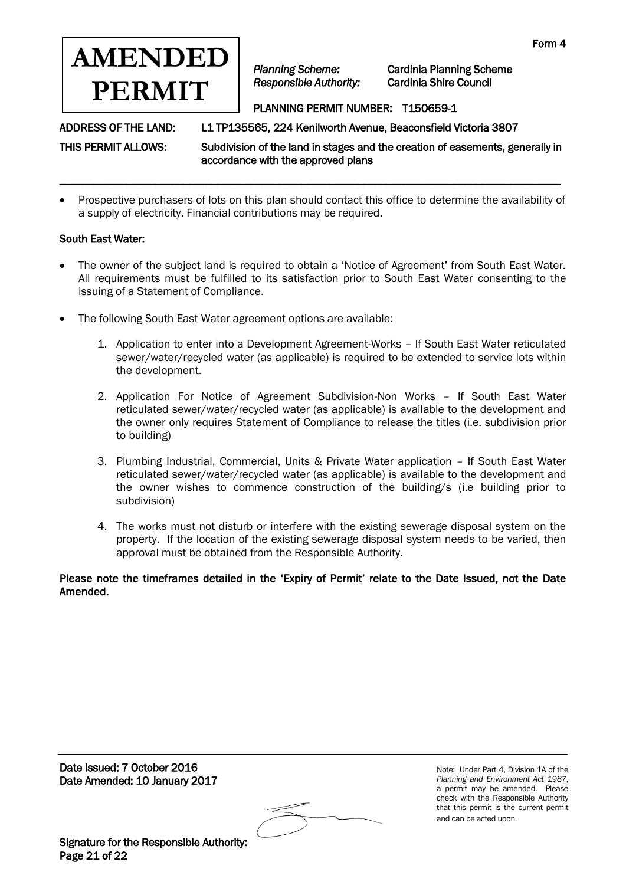

*Planning Scheme:* Cardinia Planning Scheme

#### PLANNING PERMIT NUMBER: T150659-1

ADDRESS OF THE LAND: L1 TP135565, 224 Kenilworth Avenue, Beaconsfield Victoria 3807

THIS PERMIT ALLOWS: Subdivision of the land in stages and the creation of easements, generally in accordance with the approved plans

 Prospective purchasers of lots on this plan should contact this office to determine the availability of a supply of electricity. Financial contributions may be required.

\_\_\_\_\_\_\_\_\_\_\_\_\_\_\_\_\_\_\_\_\_\_\_\_\_\_\_\_\_\_\_\_\_\_\_\_\_\_\_\_\_\_\_\_\_\_\_\_\_\_\_\_\_\_\_\_\_\_\_\_\_\_\_\_\_\_\_\_\_\_\_\_\_\_\_\_\_\_\_\_\_\_\_\_\_\_\_\_\_

#### South East Water:

- The owner of the subject land is required to obtain a 'Notice of Agreement' from South East Water. All requirements must be fulfilled to its satisfaction prior to South East Water consenting to the issuing of a Statement of Compliance.
- The following South East Water agreement options are available:
	- 1. Application to enter into a Development Agreement-Works If South East Water reticulated sewer/water/recycled water (as applicable) is required to be extended to service lots within the development.
	- 2. Application For Notice of Agreement Subdivision-Non Works If South East Water reticulated sewer/water/recycled water (as applicable) is available to the development and the owner only requires Statement of Compliance to release the titles (i.e. subdivision prior to building)
	- 3. Plumbing Industrial, Commercial, Units & Private Water application If South East Water reticulated sewer/water/recycled water (as applicable) is available to the development and the owner wishes to commence construction of the building/s (i.e building prior to subdivision)
	- 4. The works must not disturb or interfere with the existing sewerage disposal system on the property. If the location of the existing sewerage disposal system needs to be varied, then approval must be obtained from the Responsible Authority.

Please note the timeframes detailed in the 'Expiry of Permit' relate to the Date Issued, not the Date Amended.

Date Issued: 7 October 2016 Date Amended: 10 January 2017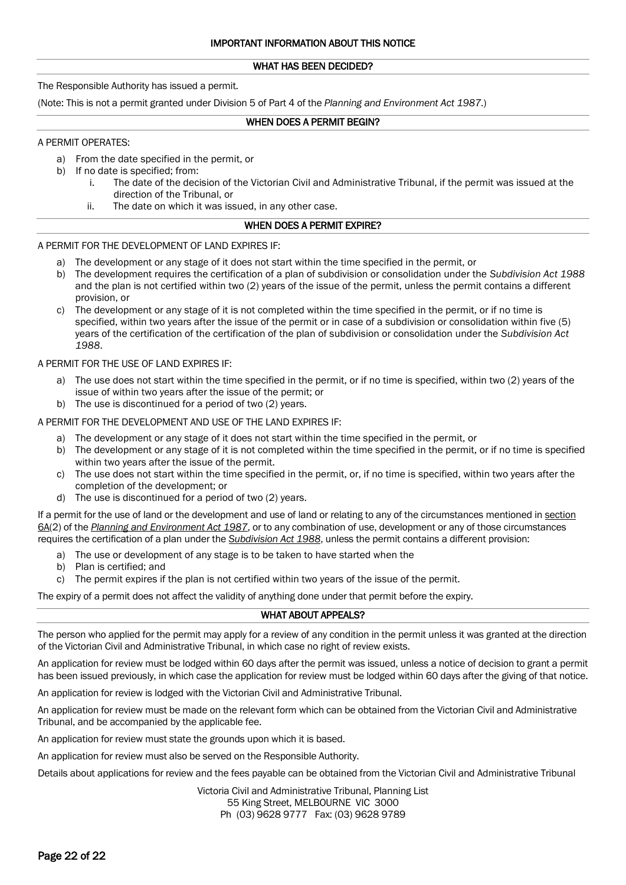#### WHAT HAS BEEN DECIDED?

The Responsible Authority has issued a permit.

(Note: This is not a permit granted under Division 5 of Part 4 of the *Planning and Environment Act 1987*.)

#### WHEN DOES A PERMIT BEGIN?

#### A PERMIT OPERATES:

- a) From the date specified in the permit, or
- b) If no date is specified; from:
	- i. The date of the decision of the Victorian Civil and Administrative Tribunal, if the permit was issued at the direction of the Tribunal, or
	- ii. The date on which it was issued, in any other case.

#### WHEN DOES A PERMIT EXPIRE?

#### A PERMIT FOR THE DEVELOPMENT OF LAND EXPIRES IF:

- a) The development or any stage of it does not start within the time specified in the permit, or
- b) The development requires the certification of a plan of subdivision or consolidation under the *Subdivision Act 1988* and the plan is not certified within two (2) years of the issue of the permit, unless the permit contains a different provision, or
- c) The development or any stage of it is not completed within the time specified in the permit, or if no time is specified, within two years after the issue of the permit or in case of a subdivision or consolidation within five (5) years of the certification of the certification of the plan of subdivision or consolidation under the *Subdivision Act 1988*.

#### A PERMIT FOR THE USE OF LAND EXPIRES IF:

- a) The use does not start within the time specified in the permit, or if no time is specified, within two (2) years of the issue of within two years after the issue of the permit; or
- b) The use is discontinued for a period of two (2) years.

#### A PERMIT FOR THE DEVELOPMENT AND USE OF THE LAND EXPIRES IF:

- a) The development or any stage of it does not start within the time specified in the permit, or
- b) The development or any stage of it is not completed within the time specified in the permit, or if no time is specified within two years after the issue of the permit.
- c) The use does not start within the time specified in the permit, or, if no time is specified, within two years after the completion of the development; or
- d) The use is discontinued for a period of two (2) years.

If a permit for the use of land or the development and use of land or relating to any of the circumstances mentioned in [section](http://www.austlii.edu.au/au/legis/vic/consol_act/paea1987254/s6a.html)  [6A\(](http://www.austlii.edu.au/au/legis/vic/consol_act/paea1987254/s6a.html)2) of the *[Planning and Environment Act 1987](http://www.austlii.edu.au/au/legis/vic/consol_act/paea1987254/)*, or to any combination of use, development or any of those circumstances requires the certification of a plan under the *[Subdivision Act 1988](http://www.austlii.edu.au/au/legis/vic/consol_act/sa1988153/)*, unless the permit contains a different provision:

- a) The use or development of any stage is to be taken to have started when the
- b) Plan is certified; and
- c) The permit expires if the plan is not certified within two years of the issue of the permit.

The expiry of a permit does not affect the validity of anything done under that permit before the expiry.

#### WHAT ABOUT APPEALS?

The person who applied for the permit may apply for a review of any condition in the permit unless it was granted at the direction of the Victorian Civil and Administrative Tribunal, in which case no right of review exists.

An application for review must be lodged within 60 days after the permit was issued, unless a notice of decision to grant a permit has been issued previously, in which case the application for review must be lodged within 60 days after the giving of that notice.

An application for review is lodged with the Victorian Civil and Administrative Tribunal.

An application for review must be made on the relevant form which can be obtained from the Victorian Civil and Administrative Tribunal, and be accompanied by the applicable fee.

An application for review must state the grounds upon which it is based.

An application for review must also be served on the Responsible Authority.

Details about applications for review and the fees payable can be obtained from the Victorian Civil and Administrative Tribunal

Victoria Civil and Administrative Tribunal, Planning List 55 King Street, MELBOURNE VIC 3000 Ph (03) 9628 9777 Fax: (03) 9628 9789